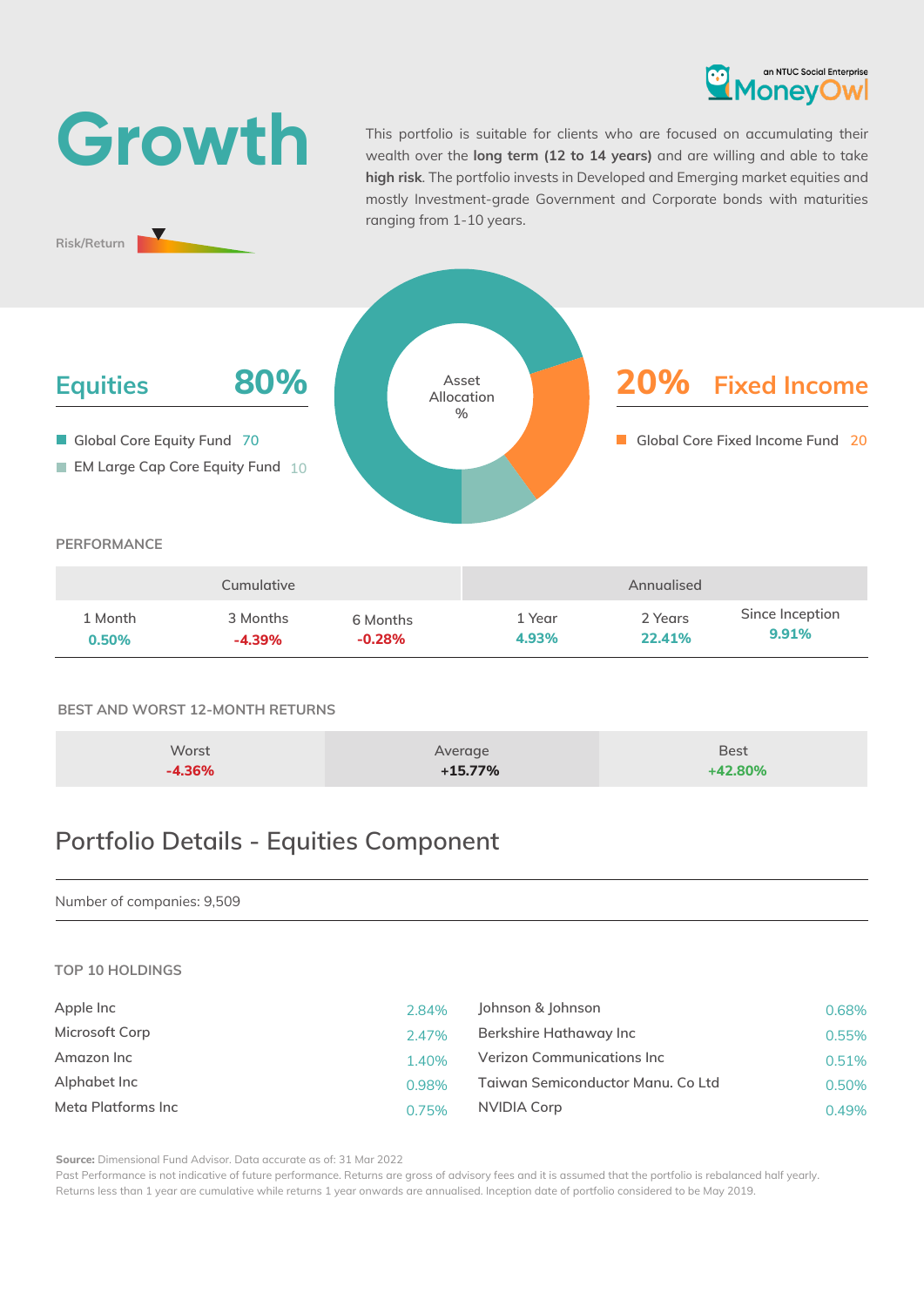

# **Growth**

This portfolio is suitable for clients who are focused on accumulating their wealth over the **long term (12 to 14 years)** and are willing and able to take **high risk**. The portfolio invests in Developed and Emerging market equities and mostly Investment-grade Government and Corporate bonds with maturities ranging from 1-10 years.

**Risk/Return**



|         | Cumulative |          |        | Annuglised |                 |
|---------|------------|----------|--------|------------|-----------------|
| 1 Month | 3 Months   | 6 Months | 1 Year | 2 Years    | Since Inception |
| 0.50%   | $-4.39\%$  | $-0.28%$ | 4.93%  | 22.41%     | 9.91%           |

### **BEST AND WORST 12-MONTH RETURNS**

| Worst    | Average   | <b>Best</b> |
|----------|-----------|-------------|
| $-4.36%$ | $+15.77%$ | +42.80%     |

# **Portfolio Details - Equities Component**

#### Number of companies: 9,509

#### **TOP 10 HOLDINGS**

| Apple Inc          | 2.84% | Johnson & Johnson                 | 0.68% |
|--------------------|-------|-----------------------------------|-------|
| Microsoft Corp     | 2.47% | Berkshire Hathaway Inc            | 0.55% |
| Amazon Inc         | 1.40% | Verizon Communications Inc        | 0.51% |
| Alphabet Inc       | 0.98% | Taiwan Semiconductor Manu. Co Ltd | 0.50% |
| Meta Platforms Inc | 0.75% | NVIDIA Corp                       | 0.49% |

**Source:** Dimensional Fund Advisor. Data accurate as of: 31 Mar 2022

Past Performance is not indicative of future performance. Returns are gross of advisory fees and it is assumed that the portfolio is rebalanced half yearly. Returns less than 1 year are cumulative while returns 1 year onwards are annualised. Inception date of portfolio considered to be May 2019.